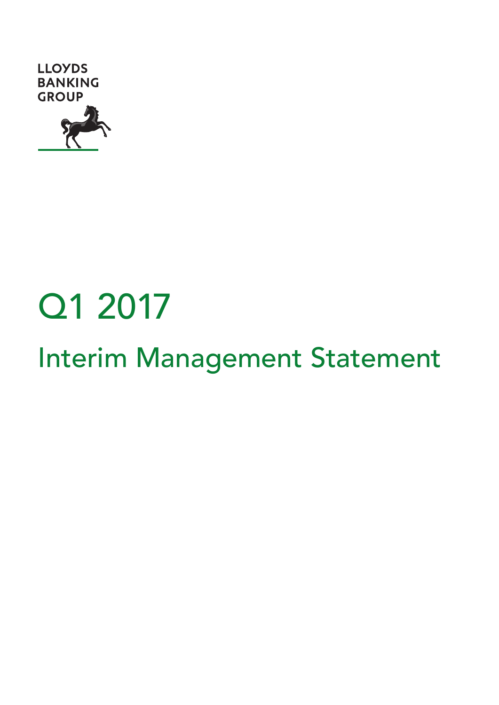

# Q1 2017

# Interim Management Statement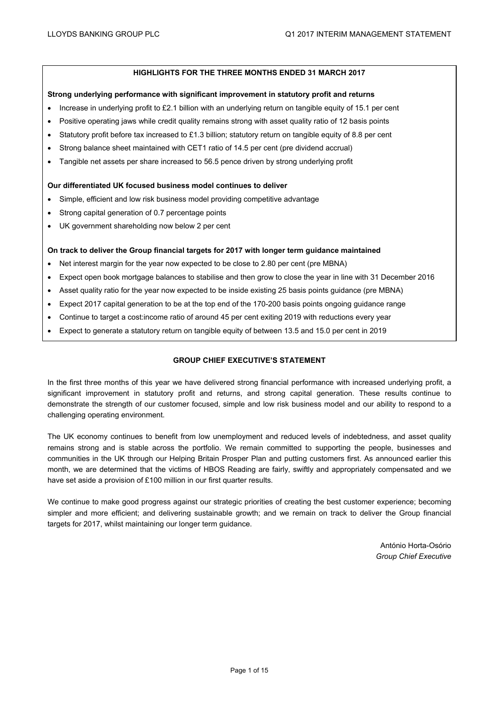# **HIGHLIGHTS FOR THE THREE MONTHS ENDED 31 MARCH 2017**

#### **Strong underlying performance with significant improvement in statutory profit and returns**

- Increase in underlying profit to £2.1 billion with an underlying return on tangible equity of 15.1 per cent
- Positive operating jaws while credit quality remains strong with asset quality ratio of 12 basis points
- Statutory profit before tax increased to £1.3 billion; statutory return on tangible equity of 8.8 per cent
- Strong balance sheet maintained with CET1 ratio of 14.5 per cent (pre dividend accrual)
- Tangible net assets per share increased to 56.5 pence driven by strong underlying profit

#### **Our differentiated UK focused business model continues to deliver**

- Simple, efficient and low risk business model providing competitive advantage
- Strong capital generation of 0.7 percentage points
- UK government shareholding now below 2 per cent

#### **On track to deliver the Group financial targets for 2017 with longer term guidance maintained**

- Net interest margin for the year now expected to be close to 2.80 per cent (pre MBNA)
- Expect open book mortgage balances to stabilise and then grow to close the year in line with 31 December 2016
- Asset quality ratio for the year now expected to be inside existing 25 basis points guidance (pre MBNA)
- Expect 2017 capital generation to be at the top end of the 170-200 basis points ongoing guidance range
- Continue to target a cost:income ratio of around 45 per cent exiting 2019 with reductions every year
- Expect to generate a statutory return on tangible equity of between 13.5 and 15.0 per cent in 2019

# **GROUP CHIEF EXECUTIVE'S STATEMENT**

In the first three months of this year we have delivered strong financial performance with increased underlying profit, a significant improvement in statutory profit and returns, and strong capital generation. These results continue to demonstrate the strength of our customer focused, simple and low risk business model and our ability to respond to a challenging operating environment.

The UK economy continues to benefit from low unemployment and reduced levels of indebtedness, and asset quality remains strong and is stable across the portfolio. We remain committed to supporting the people, businesses and communities in the UK through our Helping Britain Prosper Plan and putting customers first. As announced earlier this month, we are determined that the victims of HBOS Reading are fairly, swiftly and appropriately compensated and we have set aside a provision of £100 million in our first quarter results.

We continue to make good progress against our strategic priorities of creating the best customer experience; becoming simpler and more efficient; and delivering sustainable growth; and we remain on track to deliver the Group financial targets for 2017, whilst maintaining our longer term guidance.

> António Horta-Osório *Group Chief Executive*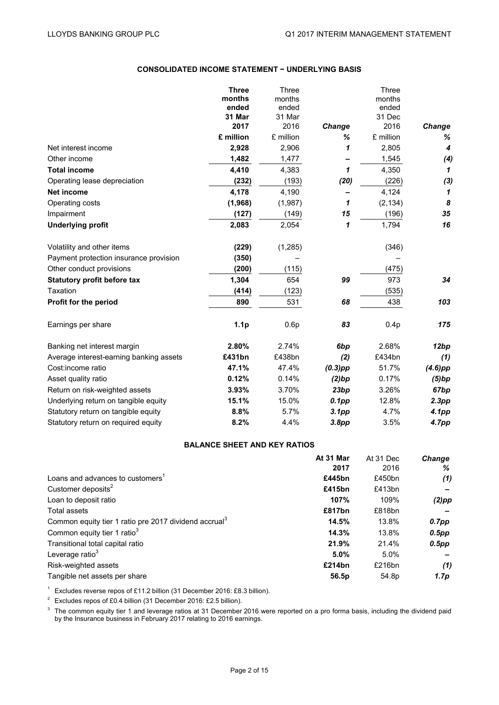# **CONSOLIDATED INCOME STATEMENT − UNDERLYING BASIS**

|                                         | <b>Three</b><br>months<br>ended | Three<br>months<br>ended |                   | Three<br>months<br>ended |                            |
|-----------------------------------------|---------------------------------|--------------------------|-------------------|--------------------------|----------------------------|
|                                         | 31 Mar                          | 31 Mar                   |                   | 31 Dec                   |                            |
|                                         | 2017                            | 2016                     | Change            | 2016                     | Change                     |
|                                         | £ million                       | £ million                | %                 | £ million                | ℅                          |
| Net interest income                     | 2,928                           | 2,906                    | 1                 | 2,805                    | $\boldsymbol{4}$           |
| Other income                            | 1,482                           | 1,477                    |                   | 1,545                    | (4)                        |
| <b>Total income</b>                     | 4,410                           | 4,383                    | 1                 | 4,350                    | 1                          |
| Operating lease depreciation            | (232)                           | (193)                    | (20)              | (226)                    | (3)                        |
| <b>Net income</b>                       | 4,178                           | 4,190                    |                   | 4,124                    | $\boldsymbol{\mathcal{L}}$ |
| Operating costs                         | (1,968)                         | (1,987)                  | 1                 | (2, 134)                 | 8                          |
| Impairment                              | (127)                           | (149)                    | 15                | (196)                    | 35                         |
| <b>Underlying profit</b>                | 2,083                           | 2,054                    | 1                 | 1,794                    | 16                         |
| Volatility and other items              | (229)                           | (1, 285)                 |                   | (346)                    |                            |
| Payment protection insurance provision  | (350)                           |                          |                   |                          |                            |
| Other conduct provisions                | (200)                           | (115)                    |                   | (475)                    |                            |
| <b>Statutory profit before tax</b>      | 1,304                           | 654                      | 99                | 973                      | 34                         |
| Taxation                                | (414)                           | (123)                    |                   | (535)                    |                            |
| Profit for the period                   | 890                             | 531                      | 68                | 438                      | 103                        |
| Earnings per share                      | 1.1 <sub>p</sub>                | 0.6p                     | 83                | 0.4p                     | 175                        |
| Banking net interest margin             | 2.80%                           | 2.74%                    | 6bp               | 2.68%                    | 12bp                       |
| Average interest-earning banking assets | £431bn                          | £438bn                   | (2)               | £434bn                   | (1)                        |
| Cost: income ratio                      | 47.1%                           | 47.4%                    | $(0.3)$ pp        | 51.7%                    | $(4.6)$ pp                 |
| Asset quality ratio                     | 0.12%                           | 0.14%                    | (2)bp             | 0.17%                    | (5)bp                      |
| Return on risk-weighted assets          | 3.93%                           | 3.70%                    | 23bp              | 3.26%                    | 67bp                       |
| Underlying return on tangible equity    | 15.1%                           | 15.0%                    | $0.1$ pp          | 12.8%                    | 2.3pp                      |
| Statutory return on tangible equity     | 8.8%                            | 5.7%                     | 3.1 <sub>pp</sub> | 4.7%                     | 4.1pp                      |
| Statutory return on required equity     | 8.2%                            | 4.4%                     | 3.8pp             | 3.5%                     | 4.7pp                      |

# **BALANCE SHEET AND KEY RATIOS**

|                                                                   | At 31 Mar | At 31 Dec         | <b>Change</b>    |
|-------------------------------------------------------------------|-----------|-------------------|------------------|
|                                                                   | 2017      | 2016              | ℅                |
| Loans and advances to customers <sup>1</sup>                      | £445bn    | £450bn            | (1)              |
| Customer deposits <sup>2</sup>                                    | £415bn    | £413bn            |                  |
| Loan to deposit ratio                                             | 107%      | 109%              | $(2)$ pp         |
| <b>Total assets</b>                                               | £817bn    | £818bn            |                  |
| Common equity tier 1 ratio pre 2017 dividend accrual <sup>3</sup> | 14.5%     | 13.8%             | $0.7$ pp         |
| Common equity tier 1 ratio <sup>3</sup>                           | 14.3%     | 13.8%             | $0.5$ pp         |
| Transitional total capital ratio                                  | 21.9%     | 21.4%             | $0.5$ pp         |
| Leverage ratio <sup>3</sup>                                       | 5.0%      | 5.0%              |                  |
| Risk-weighted assets                                              | £214bn    | £216bn            | (1)              |
| Tangible net assets per share                                     | 56.5p     | 54.8 <sub>p</sub> | 1.7 <sub>p</sub> |

<sup>1</sup> Excludes reverse repos of £11.2 billion (31 December 2016: £8.3 billion).

<sup>2</sup> Excludes repos of £0.4 billion (31 December 2016: £2.5 billion).

<sup>3</sup> The common equity tier 1 and leverage ratios at 31 December 2016 were reported on a pro forma basis, including the dividend paid by the Insurance business in February 2017 relating to 2016 earnings.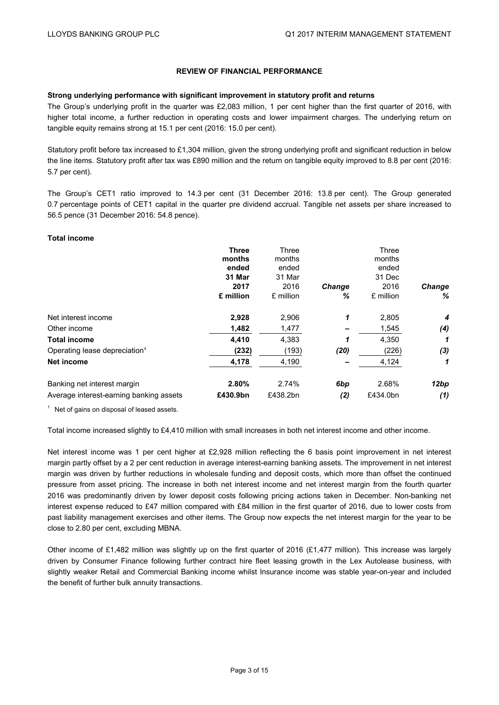# **REVIEW OF FINANCIAL PERFORMANCE**

### **Strong underlying performance with significant improvement in statutory profit and returns**

The Group's underlying profit in the quarter was £2,083 million, 1 per cent higher than the first quarter of 2016, with higher total income, a further reduction in operating costs and lower impairment charges. The underlying return on tangible equity remains strong at 15.1 per cent (2016: 15.0 per cent).

Statutory profit before tax increased to £1,304 million, given the strong underlying profit and significant reduction in below the line items. Statutory profit after tax was £890 million and the return on tangible equity improved to 8.8 per cent (2016: 5.7 per cent).

The Group's CET1 ratio improved to 14.3 per cent (31 December 2016: 13.8 per cent). The Group generated 0.7 percentage points of CET1 capital in the quarter pre dividend accrual. Tangible net assets per share increased to 56.5 pence (31 December 2016: 54.8 pence).

#### **Total income**

|                                           | <b>Three</b> | Three     |               | Three     |               |
|-------------------------------------------|--------------|-----------|---------------|-----------|---------------|
|                                           | months       | months    |               | months    |               |
|                                           | ended        | ended     |               | ended     |               |
|                                           | 31 Mar       | 31 Mar    |               | 31 Dec    |               |
|                                           | 2017         | 2016      | <b>Change</b> | 2016      | <b>Change</b> |
|                                           | £ million    | £ million | ℅             | £ million | %             |
| Net interest income                       | 2,928        | 2,906     | 1             | 2,805     | 4             |
| Other income                              | 1,482        | 1,477     |               | 1,545     | (4)           |
| <b>Total income</b>                       | 4,410        | 4,383     | 1             | 4,350     |               |
| Operating lease depreciation <sup>1</sup> | (232)        | (193)     | (20)          | (226)     | (3)           |
| Net income                                | 4,178        | 4,190     |               | 4,124     | 1             |
| Banking net interest margin               | 2.80%        | 2.74%     | 6bp           | 2.68%     | 12bp          |
| Average interest-earning banking assets   | £430.9bn     | £438.2bn  | (2)           | £434.0bn  | (1)           |

 $1$  Net of gains on disposal of leased assets.

Total income increased slightly to £4,410 million with small increases in both net interest income and other income.

Net interest income was 1 per cent higher at £2,928 million reflecting the 6 basis point improvement in net interest margin partly offset by a 2 per cent reduction in average interest-earning banking assets. The improvement in net interest margin was driven by further reductions in wholesale funding and deposit costs, which more than offset the continued pressure from asset pricing. The increase in both net interest income and net interest margin from the fourth quarter 2016 was predominantly driven by lower deposit costs following pricing actions taken in December. Non-banking net interest expense reduced to £47 million compared with £84 million in the first quarter of 2016, due to lower costs from past liability management exercises and other items. The Group now expects the net interest margin for the year to be close to 2.80 per cent, excluding MBNA.

Other income of £1,482 million was slightly up on the first quarter of 2016 (£1,477 million). This increase was largely driven by Consumer Finance following further contract hire fleet leasing growth in the Lex Autolease business, with slightly weaker Retail and Commercial Banking income whilst Insurance income was stable year-on-year and included the benefit of further bulk annuity transactions.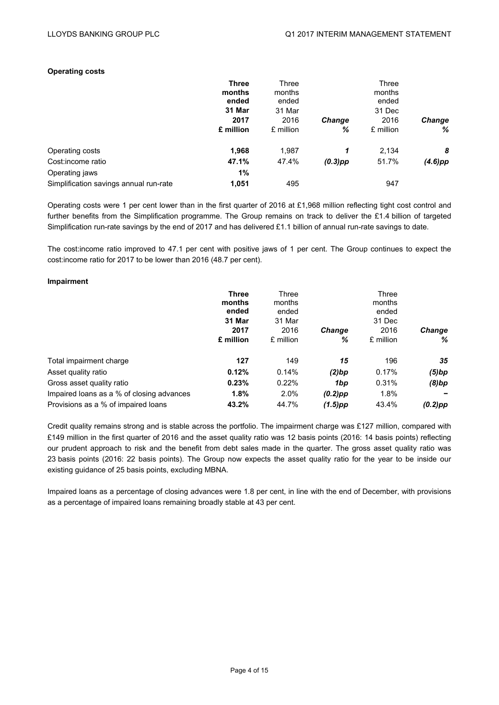#### **Operating costs**

|                                        | <b>Three</b><br>months<br>ended | Three<br>months<br>ended |               | Three<br>months<br>ended |               |
|----------------------------------------|---------------------------------|--------------------------|---------------|--------------------------|---------------|
|                                        | 31 Mar                          | 31 Mar                   |               | 31 Dec                   |               |
|                                        | 2017                            | 2016                     | <b>Change</b> | 2016                     | <b>Change</b> |
|                                        | £ million                       | £ million                | ℅             | £ million                | %             |
| Operating costs                        | 1,968                           | 1,987                    | 1             | 2,134                    | 8             |
| Cost:income ratio                      | 47.1%                           | 47.4%                    | $(0.3)$ pp    | 51.7%                    | $(4.6)$ pp    |
| Operating jaws                         | 1%                              |                          |               |                          |               |
| Simplification savings annual run-rate | 1,051                           | 495                      |               | 947                      |               |

Operating costs were 1 per cent lower than in the first quarter of 2016 at £1,968 million reflecting tight cost control and further benefits from the Simplification programme. The Group remains on track to deliver the £1.4 billion of targeted Simplification run-rate savings by the end of 2017 and has delivered £1.1 billion of annual run-rate savings to date.

The cost:income ratio improved to 47.1 per cent with positive jaws of 1 per cent. The Group continues to expect the cost:income ratio for 2017 to be lower than 2016 (48.7 per cent).

#### **Impairment**

|                                           | <b>Three</b><br>months<br>ended<br>31 Mar | Three<br>months<br>ended<br>31 Mar |               | Three<br>months<br>ended<br>31 Dec |               |
|-------------------------------------------|-------------------------------------------|------------------------------------|---------------|------------------------------------|---------------|
|                                           | 2017                                      | 2016                               | <b>Change</b> | 2016                               | <b>Change</b> |
|                                           | £ million                                 | £ million                          | ℅             | £ million                          | ℅             |
| Total impairment charge                   | 127                                       | 149                                | 15            | 196                                | 35            |
| Asset quality ratio                       | 0.12%                                     | 0.14%                              | (2)bp         | 0.17%                              | (5)bp         |
| Gross asset quality ratio                 | 0.23%                                     | 0.22%                              | 1bp           | 0.31%                              | (8)bp         |
| Impaired loans as a % of closing advances | 1.8%                                      | 2.0%                               | $(0.2)$ pp    | 1.8%                               |               |
| Provisions as a % of impaired loans       | 43.2%                                     | 44.7%                              | $(1.5)$ pp    | 43.4%                              | $(0.2)$ pp    |

Credit quality remains strong and is stable across the portfolio. The impairment charge was £127 million, compared with £149 million in the first quarter of 2016 and the asset quality ratio was 12 basis points (2016: 14 basis points) reflecting our prudent approach to risk and the benefit from debt sales made in the quarter. The gross asset quality ratio was 23 basis points (2016: 22 basis points). The Group now expects the asset quality ratio for the year to be inside our existing guidance of 25 basis points, excluding MBNA.

Impaired loans as a percentage of closing advances were 1.8 per cent, in line with the end of December, with provisions as a percentage of impaired loans remaining broadly stable at 43 per cent.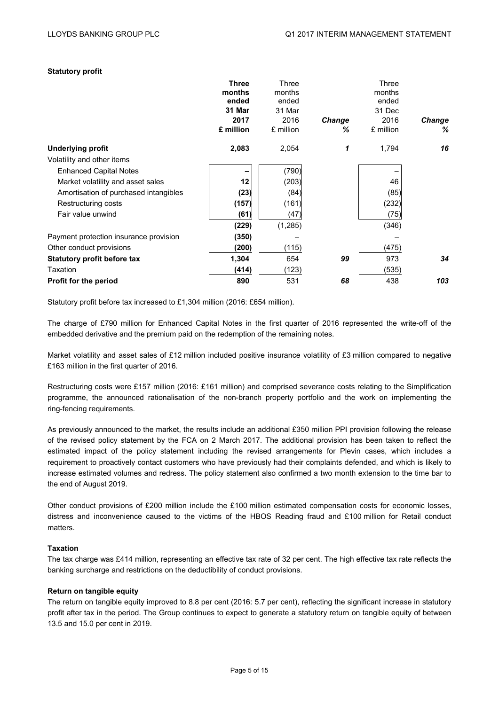# **Statutory profit**

|                                        | <b>Three</b> | Three     |               | Three     |        |
|----------------------------------------|--------------|-----------|---------------|-----------|--------|
|                                        | months       | months    |               | months    |        |
|                                        | ended        | ended     |               | ended     |        |
|                                        | 31 Mar       | 31 Mar    |               | 31 Dec    |        |
|                                        | 2017         | 2016      | <b>Change</b> | 2016      | Change |
|                                        | £ million    | £ million | ℅             | £ million | %      |
| <b>Underlying profit</b>               | 2,083        | 2,054     | 1             | 1,794     | 16     |
| Volatility and other items             |              |           |               |           |        |
| <b>Enhanced Capital Notes</b>          |              | (790)     |               |           |        |
| Market volatility and asset sales      | 12           | (203)     |               | 46        |        |
| Amortisation of purchased intangibles  | (23)         | (84)      |               | (85)      |        |
| Restructuring costs                    | (157)        | (161)     |               | (232)     |        |
| Fair value unwind                      | (61)         | (47)      |               | (75)      |        |
|                                        | (229)        | (1,285)   |               | (346)     |        |
| Payment protection insurance provision | (350)        |           |               |           |        |
| Other conduct provisions               | (200)        | (115)     |               | (475)     |        |
| <b>Statutory profit before tax</b>     | 1,304        | 654       | 99            | 973       | 34     |
| Taxation                               | (414)        | (123)     |               | (535)     |        |
| <b>Profit for the period</b>           | 890          | 531       | 68            | 438       | 103    |
|                                        |              |           |               |           |        |

Statutory profit before tax increased to £1,304 million (2016: £654 million).

The charge of £790 million for Enhanced Capital Notes in the first quarter of 2016 represented the write-off of the embedded derivative and the premium paid on the redemption of the remaining notes.

Market volatility and asset sales of £12 million included positive insurance volatility of £3 million compared to negative £163 million in the first quarter of 2016.

Restructuring costs were £157 million (2016: £161 million) and comprised severance costs relating to the Simplification programme, the announced rationalisation of the non-branch property portfolio and the work on implementing the ring-fencing requirements.

As previously announced to the market, the results include an additional £350 million PPI provision following the release of the revised policy statement by the FCA on 2 March 2017. The additional provision has been taken to reflect the estimated impact of the policy statement including the revised arrangements for Plevin cases, which includes a requirement to proactively contact customers who have previously had their complaints defended, and which is likely to increase estimated volumes and redress. The policy statement also confirmed a two month extension to the time bar to the end of August 2019.

Other conduct provisions of £200 million include the £100 million estimated compensation costs for economic losses, distress and inconvenience caused to the victims of the HBOS Reading fraud and £100 million for Retail conduct matters.

# **Taxation**

The tax charge was £414 million, representing an effective tax rate of 32 per cent. The high effective tax rate reflects the banking surcharge and restrictions on the deductibility of conduct provisions.

#### **Return on tangible equity**

The return on tangible equity improved to 8.8 per cent (2016: 5.7 per cent), reflecting the significant increase in statutory profit after tax in the period. The Group continues to expect to generate a statutory return on tangible equity of between 13.5 and 15.0 per cent in 2019.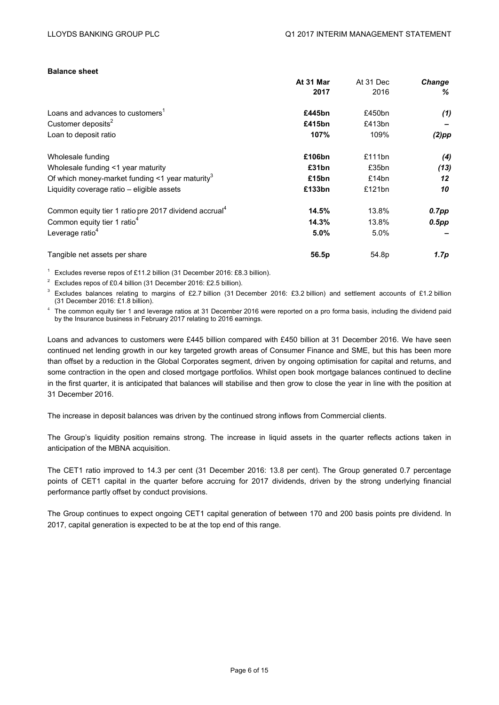# **Balance sheet**

|                                                                   | At 31 Mar | At 31 Dec | Change   |
|-------------------------------------------------------------------|-----------|-----------|----------|
|                                                                   | 2017      | 2016      | %        |
| Loans and advances to customers <sup>1</sup>                      | £445bn    | £450bn    | (1)      |
| Customer deposits <sup>2</sup>                                    | £415bn    | £413bn    |          |
| Loan to deposit ratio                                             | 107%      | 109%      | $(2)$ pp |
| Wholesale funding                                                 | £106bn    | £111bn    | (4)      |
| Wholesale funding <1 year maturity                                | £31bn     | £35bn     | (13)     |
| Of which money-market funding $\leq 1$ year maturity <sup>3</sup> | £15bn     | £14bn     | 12       |
| Liquidity coverage ratio – eligible assets                        | £133bn    | £121bn    | 10       |
| Common equity tier 1 ratio pre 2017 dividend accrual <sup>4</sup> | 14.5%     | 13.8%     | 0.7pp    |
| Common equity tier 1 ratio <sup>4</sup>                           | 14.3%     | 13.8%     | $0.5$ pp |
| Leverage ratio <sup>4</sup>                                       | 5.0%      | $5.0\%$   |          |
| Tangible net assets per share                                     | 56.5p     | 54.8p     | 1.7p     |
|                                                                   |           |           |          |

<sup>1</sup> Excludes reverse repos of £11.2 billion (31 December 2016: £8.3 billion).

<sup>2</sup> Excludes repos of £0.4 billion (31 December 2016: £2.5 billion).

<sup>3</sup> Excludes balances relating to margins of £2.7 billion (31 December 2016: £3.2 billion) and settlement accounts of £1.2 billion (31 December 2016: £1.8 billion).

 $4$  The common equity tier 1 and leverage ratios at 31 December 2016 were reported on a pro forma basis, including the dividend paid by the Insurance business in February 2017 relating to 2016 earnings.

Loans and advances to customers were £445 billion compared with £450 billion at 31 December 2016. We have seen continued net lending growth in our key targeted growth areas of Consumer Finance and SME, but this has been more than offset by a reduction in the Global Corporates segment, driven by ongoing optimisation for capital and returns, and some contraction in the open and closed mortgage portfolios. Whilst open book mortgage balances continued to decline in the first quarter, it is anticipated that balances will stabilise and then grow to close the year in line with the position at 31 December 2016.

The increase in deposit balances was driven by the continued strong inflows from Commercial clients.

The Group's liquidity position remains strong. The increase in liquid assets in the quarter reflects actions taken in anticipation of the MBNA acquisition.

The CET1 ratio improved to 14.3 per cent (31 December 2016: 13.8 per cent). The Group generated 0.7 percentage points of CET1 capital in the quarter before accruing for 2017 dividends, driven by the strong underlying financial performance partly offset by conduct provisions.

The Group continues to expect ongoing CET1 capital generation of between 170 and 200 basis points pre dividend. In 2017, capital generation is expected to be at the top end of this range.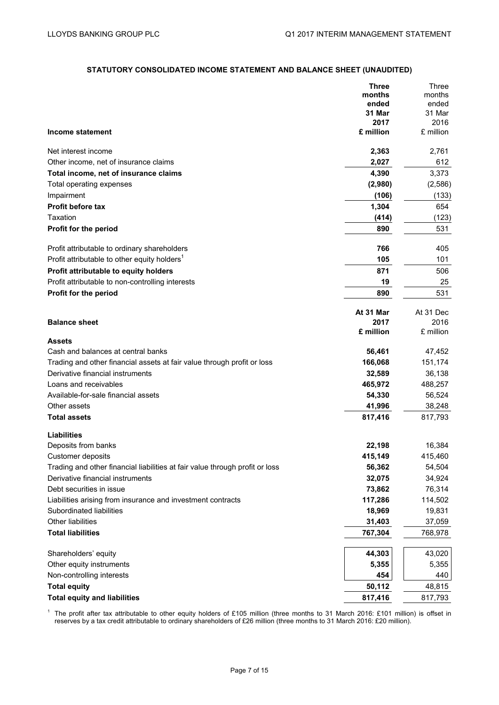# **STATUTORY CONSOLIDATED INCOME STATEMENT AND BALANCE SHEET (UNAUDITED)**

|                                                                              | <b>Three</b>    | Three           |
|------------------------------------------------------------------------------|-----------------|-----------------|
|                                                                              | months<br>ended | months<br>ended |
|                                                                              | 31 Mar          | 31 Mar          |
|                                                                              | 2017            | 2016            |
| <b>Income statement</b>                                                      | £ million       | £ million       |
| Net interest income                                                          | 2,363           | 2,761           |
| Other income, net of insurance claims                                        | 2,027           | 612             |
| Total income, net of insurance claims                                        | 4,390           | 3,373           |
| Total operating expenses                                                     | (2,980)         | (2,586)         |
| Impairment                                                                   | (106)           | (133)           |
| Profit before tax                                                            | 1,304           | 654             |
| Taxation                                                                     | (414)           | (123)           |
| Profit for the period                                                        | 890             | 531             |
| Profit attributable to ordinary shareholders                                 | 766             | 405             |
| Profit attributable to other equity holders <sup>1</sup>                     | 105             | 101             |
| Profit attributable to equity holders                                        | 871             | 506             |
| Profit attributable to non-controlling interests                             | 19              | 25              |
| Profit for the period                                                        | 890             | 531             |
|                                                                              | At 31 Mar       | At 31 Dec       |
| <b>Balance sheet</b>                                                         | 2017            | 2016            |
| <b>Assets</b>                                                                | £ million       | £ million       |
| Cash and balances at central banks                                           | 56,461          | 47,452          |
| Trading and other financial assets at fair value through profit or loss      | 166,068         | 151,174         |
| Derivative financial instruments                                             | 32,589          | 36,138          |
| Loans and receivables                                                        | 465,972         | 488,257         |
| Available-for-sale financial assets                                          | 54,330          | 56,524          |
| Other assets                                                                 | 41,996          | 38,248          |
| <b>Total assets</b>                                                          | 817,416         | 817,793         |
| <b>Liabilities</b>                                                           |                 |                 |
| Deposits from banks                                                          | 22,198          | 16,384          |
| Customer deposits                                                            | 415,149         | 415,460         |
| Trading and other financial liabilities at fair value through profit or loss | 56,362          | 54,504          |
| Derivative financial instruments                                             | 32,075          | 34,924          |
| Debt securities in issue                                                     | 73,862          | 76,314          |
| Liabilities arising from insurance and investment contracts                  | 117,286         | 114,502         |
| Subordinated liabilities                                                     | 18,969          | 19,831          |
| Other liabilities                                                            | 31,403          | 37,059          |
| <b>Total liabilities</b>                                                     | 767,304         | 768,978         |
| Shareholders' equity                                                         | 44,303          | 43,020          |
| Other equity instruments                                                     | 5,355           | 5,355           |
| Non-controlling interests                                                    | 454             | 440             |
| <b>Total equity</b>                                                          | 50,112          | 48,815          |
| <b>Total equity and liabilities</b>                                          | 817,416         | 817,793         |

<sup>1</sup> The profit after tax attributable to other equity holders of £105 million (three months to 31 March 2016: £101 million) is offset in reserves by a tax credit attributable to ordinary shareholders of £26 million (three months to 31 March 2016: £20 million).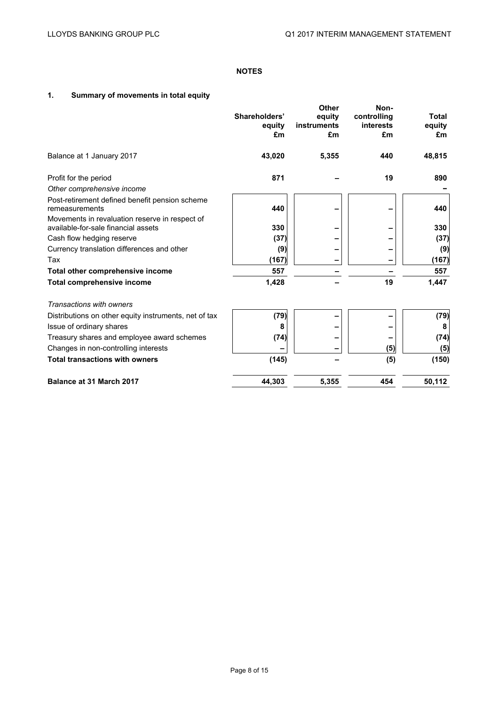# **NOTES**

# **1. Summary of movements in total equity**

|                                                                                       | Shareholders'<br>equity<br>£m | <b>Other</b><br>equity<br>instruments<br>£m | Non-<br>controlling<br>interests<br>£m | <b>Total</b><br>equity<br>£m |
|---------------------------------------------------------------------------------------|-------------------------------|---------------------------------------------|----------------------------------------|------------------------------|
| Balance at 1 January 2017                                                             | 43,020                        | 5,355                                       | 440                                    | 48,815                       |
| Profit for the period                                                                 | 871                           |                                             | 19                                     | 890                          |
| Other comprehensive income                                                            |                               |                                             |                                        |                              |
| Post-retirement defined benefit pension scheme<br>remeasurements                      | 440                           |                                             |                                        | 440                          |
| Movements in revaluation reserve in respect of<br>available-for-sale financial assets | 330                           |                                             |                                        | 330                          |
| Cash flow hedging reserve                                                             | (37)                          |                                             |                                        | (37)                         |
| Currency translation differences and other                                            | (9)                           |                                             |                                        | (9)                          |
| Tax                                                                                   | (167)                         |                                             |                                        | (167)                        |
| Total other comprehensive income                                                      | 557                           |                                             |                                        | 557                          |
| <b>Total comprehensive income</b>                                                     | 1,428                         |                                             | 19                                     | 1,447                        |
| Transactions with owners                                                              |                               |                                             |                                        |                              |
| Distributions on other equity instruments, net of tax                                 | (79)                          |                                             |                                        | (79)                         |
| Issue of ordinary shares                                                              | 8                             |                                             |                                        | 8                            |
| Treasury shares and employee award schemes                                            | (74)                          |                                             |                                        | (74)                         |
| Changes in non-controlling interests                                                  |                               |                                             | (5)                                    | (5)                          |
| <b>Total transactions with owners</b>                                                 | (145)                         |                                             | (5)                                    | (150)                        |
| <b>Balance at 31 March 2017</b>                                                       | 44.303                        | 5,355                                       | 454                                    | 50,112                       |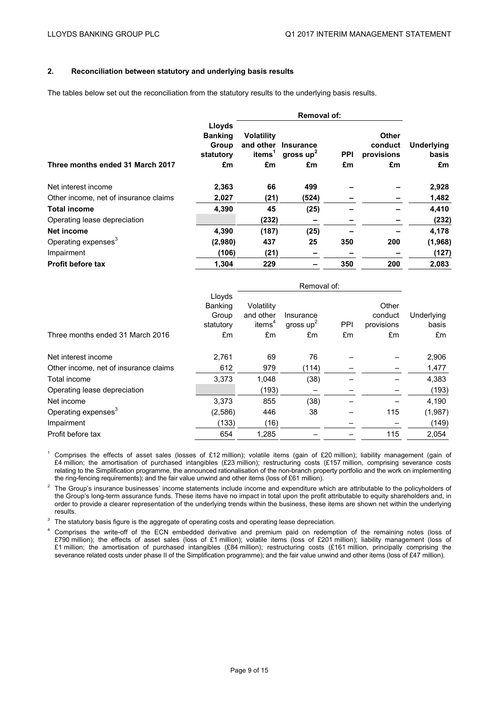# **2. Reconciliation between statutory and underlying basis results**

The tables below set out the reconciliation from the statutory results to the underlying basis results.

|                                       |                                                | <b>Removal of:</b>                      |                                    |            |                                |                     |  |
|---------------------------------------|------------------------------------------------|-----------------------------------------|------------------------------------|------------|--------------------------------|---------------------|--|
|                                       | Lloyds<br><b>Banking</b><br>Group<br>statutory | <b>Volatility</b><br>items <sup>1</sup> | and other Insurance<br>gross $up2$ | <b>PPI</b> | Other<br>conduct<br>provisions | Underlying<br>basis |  |
| Three months ended 31 March 2017      | £m                                             | £m                                      | £m                                 | £m         | £m                             | £m                  |  |
| Net interest income                   | 2,363                                          | 66                                      | 499                                |            |                                | 2,928               |  |
| Other income, net of insurance claims | 2,027                                          | (21)                                    | (524)                              |            |                                | 1,482               |  |
| <b>Total income</b>                   | 4,390                                          | 45                                      | (25)                               |            |                                | 4,410               |  |
| Operating lease depreciation          |                                                | (232)                                   |                                    |            |                                | (232)               |  |
| Net income                            | 4,390                                          | (187)                                   | (25)                               |            |                                | 4,178               |  |
| Operating expenses <sup>3</sup>       | (2,980)                                        | 437                                     | 25                                 | 350        | 200                            | (1,968)             |  |
| Impairment                            | (106)                                          | (21)                                    |                                    |            |                                | (127)               |  |
| <b>Profit before tax</b>              | 1,304                                          | 229                                     |                                    | 350        | 200                            | 2,083               |  |

|                                       |                                                | Removal of:                                   |                          |            |                                |                     |
|---------------------------------------|------------------------------------------------|-----------------------------------------------|--------------------------|------------|--------------------------------|---------------------|
|                                       | Lloyds<br><b>Banking</b><br>Group<br>statutory | Volatility<br>and other<br>items <sup>4</sup> | Insurance<br>gross $up2$ | <b>PPI</b> | Other<br>conduct<br>provisions | Underlying<br>basis |
| Three months ended 31 March 2016      | £m                                             | £m                                            | £m                       | £m         | £m                             | £m                  |
| Net interest income                   | 2,761                                          | 69                                            | 76                       |            |                                | 2,906               |
| Other income, net of insurance claims | 612                                            | 979                                           | (114)                    |            |                                | 1,477               |
| Total income                          | 3,373                                          | 1,048                                         | (38)                     |            |                                | 4,383               |
| Operating lease depreciation          |                                                | (193)                                         |                          |            |                                | (193)               |
| Net income                            | 3.373                                          | 855                                           | (38)                     |            |                                | 4,190               |
| Operating expenses <sup>3</sup>       | (2,586)                                        | 446                                           | 38                       |            | 115                            | (1,987)             |
| Impairment                            | (133)                                          | (16)                                          |                          |            |                                | (149)               |
| Profit before tax                     | 654                                            | 1,285                                         |                          |            | 115                            | 2,054               |

<sup>1</sup> Comprises the effects of asset sales (losses of £12 million); volatile items (gain of £20 million); liability management (gain of £4 million; the amortisation of purchased intangibles (£23 million); restructuring costs (£157 million, comprising severance costs relating to the Simplification programme, the announced rationalisation of the non-branch property portfolio and the work on implementing the ring-fencing requirements); and the fair value unwind and other items (loss of £61 million).

<sup>2</sup> The Group's insurance businesses' income statements include income and expenditure which are attributable to the policyholders of the Group's long-term assurance funds. These items have no impact in total upon the profit attributable to equity shareholders and, in order to provide a clearer representation of the underlying trends within the business, these items are shown net within the underlying results.

<sup>3</sup> The statutory basis figure is the aggregate of operating costs and operating lease depreciation.

<sup>4</sup> Comprises the write-off of the ECN embedded derivative and premium paid on redemption of the remaining notes (loss of £790 million); the effects of asset sales (loss of £1 million); volatile items (loss of £201 million); liability management (loss of £1 million; the amortisation of purchased intangibles (£84 million); restructuring costs (£161 million, principally comprising the severance related costs under phase II of the Simplification programme); and the fair value unwind and other items (loss of £47 million).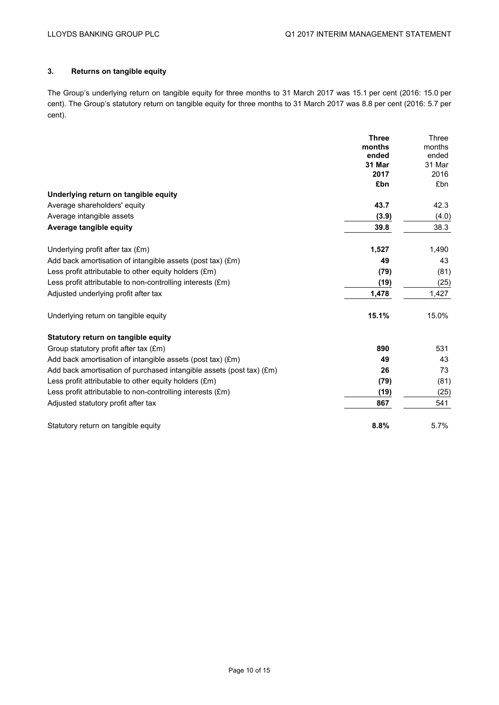# **3. Returns on tangible equity**

The Group's underlying return on tangible equity for three months to 31 March 2017 was 15.1 per cent (2016: 15.0 per cent). The Group's statutory return on tangible equity for three months to 31 March 2017 was 8.8 per cent (2016: 5.7 per cent).

|                                                                               | <b>Three</b>    | Three           |
|-------------------------------------------------------------------------------|-----------------|-----------------|
|                                                                               | months<br>ended | months<br>ended |
|                                                                               | 31 Mar          | 31 Mar          |
|                                                                               | 2017            | 2016            |
|                                                                               | £bn             | £bn             |
| Underlying return on tangible equity                                          |                 |                 |
| Average shareholders' equity                                                  | 43.7            | 42.3            |
| Average intangible assets                                                     | (3.9)           | (4.0)           |
| Average tangible equity                                                       | 39.8            | 38.3            |
| Underlying profit after tax (£m)                                              | 1,527           | 1,490           |
| Add back amortisation of intangible assets (post tax) (£m)                    | 49              | 43              |
| Less profit attributable to other equity holders $(\text{Em})$                | (79)            | (81)            |
| Less profit attributable to non-controlling interests (£m)                    | (19)            | (25)            |
| Adjusted underlying profit after tax                                          | 1,478           | 1,427           |
| Underlying return on tangible equity                                          | 15.1%           | 15.0%           |
| Statutory return on tangible equity                                           |                 |                 |
| Group statutory profit after tax (£m)                                         | 890             | 531             |
| Add back amortisation of intangible assets (post tax) (£m)                    | 49              | 43              |
| Add back amortisation of purchased intangible assets (post tax) $(\text{Em})$ | 26              | 73              |
| Less profit attributable to other equity holders $(\text{Em})$                | (79)            | (81)            |
| Less profit attributable to non-controlling interests (£m)                    | (19)            | (25)            |
| Adjusted statutory profit after tax                                           | 867             | 541             |
| Statutory return on tangible equity                                           | 8.8%            | 5.7%            |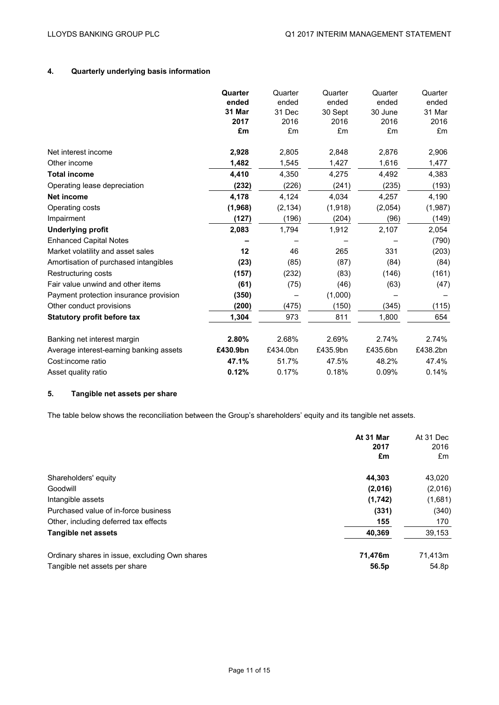# **4. Quarterly underlying basis information**

|                                         | Quarter  | Quarter  | Quarter  | Quarter  | Quarter  |
|-----------------------------------------|----------|----------|----------|----------|----------|
|                                         | ended    | ended    | ended    | ended    | ended    |
|                                         | 31 Mar   | 31 Dec   | 30 Sept  | 30 June  | 31 Mar   |
|                                         | 2017     | 2016     | 2016     | 2016     | 2016     |
|                                         | £m       | £m       | £m       | £m       | £m       |
| Net interest income                     | 2,928    | 2,805    | 2,848    | 2,876    | 2,906    |
| Other income                            | 1,482    | 1,545    | 1,427    | 1,616    | 1,477    |
| <b>Total income</b>                     | 4,410    | 4,350    | 4,275    | 4,492    | 4,383    |
| Operating lease depreciation            | (232)    | (226)    | (241)    | (235)    | (193)    |
| <b>Net income</b>                       | 4,178    | 4,124    | 4.034    | 4.257    | 4,190    |
| Operating costs                         | (1,968)  | (2, 134) | (1,918)  | (2,054)  | (1,987)  |
| Impairment                              | (127)    | (196)    | (204)    | (96)     | (149)    |
| <b>Underlying profit</b>                | 2,083    | 1,794    | 1,912    | 2,107    | 2,054    |
| <b>Enhanced Capital Notes</b>           |          |          |          |          | (790)    |
| Market volatility and asset sales       | 12       | 46       | 265      | 331      | (203)    |
| Amortisation of purchased intangibles   | (23)     | (85)     | (87)     | (84)     | (84)     |
| Restructuring costs                     | (157)    | (232)    | (83)     | (146)    | (161)    |
| Fair value unwind and other items       | (61)     | (75)     | (46)     | (63)     | (47)     |
| Payment protection insurance provision  | (350)    |          | (1,000)  |          |          |
| Other conduct provisions                | (200)    | (475)    | (150)    | (345)    | (115)    |
| <b>Statutory profit before tax</b>      | 1,304    | 973      | 811      | 1,800    | 654      |
| Banking net interest margin             | 2.80%    | 2.68%    | 2.69%    | 2.74%    | 2.74%    |
| Average interest-earning banking assets | £430.9bn | £434.0bn | £435.9bn | £435.6bn | £438.2bn |
| Cost:income ratio                       | 47.1%    | 51.7%    | 47.5%    | 48.2%    | 47.4%    |
| Asset quality ratio                     | 0.12%    | 0.17%    | 0.18%    | 0.09%    | 0.14%    |

# **5. Tangible net assets per share**

The table below shows the reconciliation between the Group's shareholders' equity and its tangible net assets.

|                                                | At 31 Mar<br>2017<br>£m | At 31 Dec<br>2016<br>£m |
|------------------------------------------------|-------------------------|-------------------------|
| Shareholders' equity                           | 44.303                  | 43,020                  |
| Goodwill                                       | (2,016)                 | (2,016)                 |
| Intangible assets                              | (1,742)                 | (1,681)                 |
| Purchased value of in-force business           | (331)                   | (340)                   |
| Other, including deferred tax effects          | 155                     | 170                     |
| Tangible net assets                            | 40,369                  | 39,153                  |
| Ordinary shares in issue, excluding Own shares | 71,476m                 | 71,413m                 |
| Tangible net assets per share                  | 56.5p                   | 54.8p                   |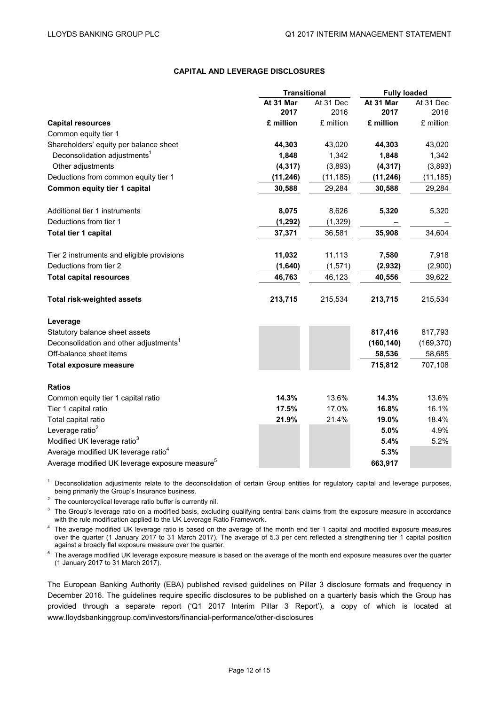# **CAPITAL AND LEVERAGE DISCLOSURES**

|                                                            | <b>Transitional</b> |           | <b>Fully loaded</b> |            |
|------------------------------------------------------------|---------------------|-----------|---------------------|------------|
|                                                            | At 31 Mar           | At 31 Dec | At 31 Mar           | At 31 Dec  |
|                                                            | 2017                | 2016      | 2017                | 2016       |
| <b>Capital resources</b>                                   | £ million           | £ million | £ million           | £ million  |
| Common equity tier 1                                       |                     |           |                     |            |
| Shareholders' equity per balance sheet                     | 44,303              | 43,020    | 44,303              | 43,020     |
| Deconsolidation adjustments <sup>1</sup>                   | 1,848               | 1,342     | 1,848               | 1,342      |
| Other adjustments                                          | (4, 317)            | (3,893)   | (4, 317)            | (3,893)    |
| Deductions from common equity tier 1                       | (11, 246)           | (11, 185) | (11, 246)           | (11,185)   |
| Common equity tier 1 capital                               | 30,588              | 29,284    | 30,588              | 29,284     |
| Additional tier 1 instruments                              | 8,075               | 8,626     | 5,320               | 5,320      |
| Deductions from tier 1                                     | (1, 292)            | (1,329)   |                     |            |
| Total tier 1 capital                                       | 37,371              | 36,581    | 35,908              | 34,604     |
| Tier 2 instruments and eligible provisions                 | 11,032              | 11,113    | 7,580               | 7,918      |
| Deductions from tier 2                                     | (1,640)             | (1,571)   | (2,932)             | (2,900)    |
| <b>Total capital resources</b>                             | 46,763              | 46,123    | 40,556              | 39,622     |
| <b>Total risk-weighted assets</b>                          | 213,715             | 215,534   | 213,715             | 215,534    |
| Leverage                                                   |                     |           |                     |            |
| Statutory balance sheet assets                             |                     |           | 817,416             | 817,793    |
| Deconsolidation and other adjustments <sup>1</sup>         |                     |           | (160, 140)          | (169, 370) |
| Off-balance sheet items                                    |                     |           | 58,536              | 58,685     |
| <b>Total exposure measure</b>                              |                     |           | 715,812             | 707,108    |
| <b>Ratios</b>                                              |                     |           |                     |            |
| Common equity tier 1 capital ratio                         | 14.3%               | 13.6%     | 14.3%               | 13.6%      |
| Tier 1 capital ratio                                       | 17.5%               | 17.0%     | 16.8%               | 16.1%      |
| Total capital ratio                                        | 21.9%               | 21.4%     | 19.0%               | 18.4%      |
| Leverage ratio <sup>2</sup>                                |                     |           | 5.0%                | 4.9%       |
| Modified UK leverage ratio <sup>3</sup>                    |                     |           | 5.4%                | 5.2%       |
| Average modified UK leverage ratio <sup>4</sup>            |                     |           | 5.3%                |            |
| Average modified UK leverage exposure measure <sup>5</sup> |                     |           | 663,917             |            |

<sup>1</sup> Deconsolidation adjustments relate to the deconsolidation of certain Group entities for regulatory capital and leverage purposes, being primarily the Group's Insurance business.

 $2$  The countercyclical leverage ratio buffer is currently nil.

<sup>3</sup> The Group's leverage ratio on a modified basis, excluding qualifying central bank claims from the exposure measure in accordance with the rule modification applied to the UK Leverage Ratio Framework.

<sup>4</sup> The average modified UK leverage ratio is based on the average of the month end tier 1 capital and modified exposure measures over the quarter (1 January 2017 to 31 March 2017). The average of 5.3 per cent reflected a strengthening tier 1 capital position against a broadly flat exposure measure over the quarter.

<sup>5</sup> The average modified UK leverage exposure measure is based on the average of the month end exposure measures over the quarter (1 January 2017 to 31 March 2017).

The European Banking Authority (EBA) published revised guidelines on Pillar 3 disclosure formats and frequency in December 2016. The guidelines require specific disclosures to be published on a quarterly basis which the Group has provided through a separate report ('Q1 2017 Interim Pillar 3 Report'), a copy of which is located at www.lloydsbankinggroup.com/investors/financial-performance/other-disclosures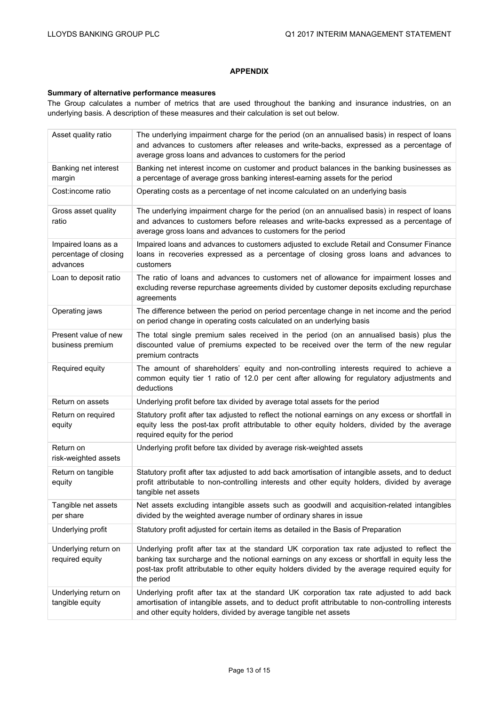# **APPENDIX**

#### **Summary of alternative performance measures**

The Group calculates a number of metrics that are used throughout the banking and insurance industries, on an underlying basis. A description of these measures and their calculation is set out below.

| Asset quality ratio                                      | The underlying impairment charge for the period (on an annualised basis) in respect of loans<br>and advances to customers after releases and write-backs, expressed as a percentage of<br>average gross loans and advances to customers for the period                                                        |
|----------------------------------------------------------|---------------------------------------------------------------------------------------------------------------------------------------------------------------------------------------------------------------------------------------------------------------------------------------------------------------|
| Banking net interest<br>margin                           | Banking net interest income on customer and product balances in the banking businesses as<br>a percentage of average gross banking interest-earning assets for the period                                                                                                                                     |
| Cost:income ratio                                        | Operating costs as a percentage of net income calculated on an underlying basis                                                                                                                                                                                                                               |
| Gross asset quality<br>ratio                             | The underlying impairment charge for the period (on an annualised basis) in respect of loans<br>and advances to customers before releases and write-backs expressed as a percentage of<br>average gross loans and advances to customers for the period                                                        |
| Impaired loans as a<br>percentage of closing<br>advances | Impaired loans and advances to customers adjusted to exclude Retail and Consumer Finance<br>loans in recoveries expressed as a percentage of closing gross loans and advances to<br>customers                                                                                                                 |
| Loan to deposit ratio                                    | The ratio of loans and advances to customers net of allowance for impairment losses and<br>excluding reverse repurchase agreements divided by customer deposits excluding repurchase<br>agreements                                                                                                            |
| Operating jaws                                           | The difference between the period on period percentage change in net income and the period<br>on period change in operating costs calculated on an underlying basis                                                                                                                                           |
| Present value of new<br>business premium                 | The total single premium sales received in the period (on an annualised basis) plus the<br>discounted value of premiums expected to be received over the term of the new regular<br>premium contracts                                                                                                         |
| Required equity                                          | The amount of shareholders' equity and non-controlling interests required to achieve a<br>common equity tier 1 ratio of 12.0 per cent after allowing for regulatory adjustments and<br>deductions                                                                                                             |
| Return on assets                                         | Underlying profit before tax divided by average total assets for the period                                                                                                                                                                                                                                   |
| Return on required<br>equity                             | Statutory profit after tax adjusted to reflect the notional earnings on any excess or shortfall in<br>equity less the post-tax profit attributable to other equity holders, divided by the average<br>required equity for the period                                                                          |
| Return on<br>risk-weighted assets                        | Underlying profit before tax divided by average risk-weighted assets                                                                                                                                                                                                                                          |
| Return on tangible<br>equity                             | Statutory profit after tax adjusted to add back amortisation of intangible assets, and to deduct<br>profit attributable to non-controlling interests and other equity holders, divided by average<br>tangible net assets                                                                                      |
| Tangible net assets<br>per share                         | Net assets excluding intangible assets such as goodwill and acquisition-related intangibles<br>divided by the weighted average number of ordinary shares in issue                                                                                                                                             |
| Underlying profit                                        | Statutory profit adjusted for certain items as detailed in the Basis of Preparation                                                                                                                                                                                                                           |
| Underlying return on<br>required equity                  | Underlying profit after tax at the standard UK corporation tax rate adjusted to reflect the<br>banking tax surcharge and the notional earnings on any excess or shortfall in equity less the<br>post-tax profit attributable to other equity holders divided by the average required equity for<br>the period |
| Underlying return on<br>tangible equity                  | Underlying profit after tax at the standard UK corporation tax rate adjusted to add back<br>amortisation of intangible assets, and to deduct profit attributable to non-controlling interests<br>and other equity holders, divided by average tangible net assets                                             |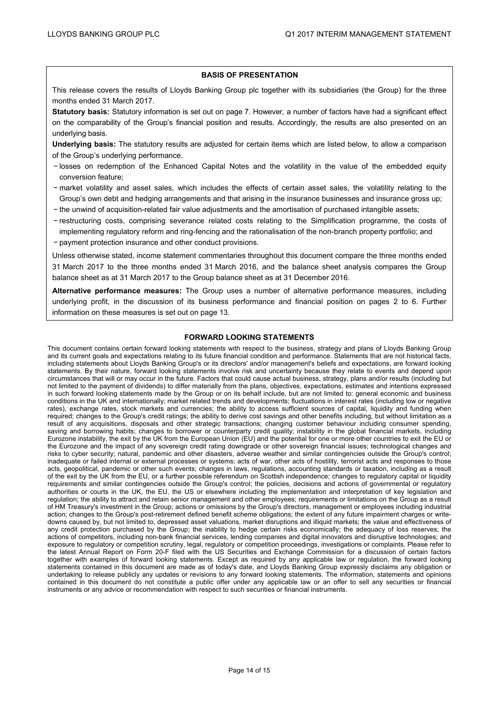#### **BASIS OF PRESENTATION**

This release covers the results of Lloyds Banking Group plc together with its subsidiaries (the Group) for the three months ended 31 March 2017.

**Statutory basis:** Statutory information is set out on page 7. However, a number of factors have had a significant effect on the comparability of the Group's financial position and results. Accordingly, the results are also presented on an underlying basis.

**Underlying basis:** The statutory results are adjusted for certain items which are listed below, to allow a comparison of the Group's underlying performance.

- − losses on redemption of the Enhanced Capital Notes and the volatility in the value of the embedded equity conversion feature;
- − market volatility and asset sales, which includes the effects of certain asset sales, the volatility relating to the Group's own debt and hedging arrangements and that arising in the insurance businesses and insurance gross up;
- − the unwind of acquisition-related fair value adjustments and the amortisation of purchased intangible assets;
- − restructuring costs, comprising severance related costs relating to the Simplification programme, the costs of implementing regulatory reform and ring-fencing and the rationalisation of the non-branch property portfolio; and
- − payment protection insurance and other conduct provisions.

Unless otherwise stated, income statement commentaries throughout this document compare the three months ended 31 March 2017 to the three months ended 31 March 2016, and the balance sheet analysis compares the Group balance sheet as at 31 March 2017 to the Group balance sheet as at 31 December 2016.

**Alternative performance measures:** The Group uses a number of alternative performance measures, including underlying profit, in the discussion of its business performance and financial position on pages 2 to 6. Further information on these measures is set out on page 13.

# **FORWARD LOOKING STATEMENTS**

This document contains certain forward looking statements with respect to the business, strategy and plans of Lloyds Banking Group and its current goals and expectations relating to its future financial condition and performance. Statements that are not historical facts, including statements about Lloyds Banking Group's or its directors' and/or management's beliefs and expectations, are forward looking statements. By their nature, forward looking statements involve risk and uncertainty because they relate to events and depend upon circumstances that will or may occur in the future. Factors that could cause actual business, strategy, plans and/or results (including but not limited to the payment of dividends) to differ materially from the plans, objectives, expectations, estimates and intentions expressed in such forward looking statements made by the Group or on its behalf include, but are not limited to: general economic and business conditions in the UK and internationally; market related trends and developments; fluctuations in interest rates (including low or negative rates), exchange rates, stock markets and currencies; the ability to access sufficient sources of capital, liquidity and funding when required; changes to the Group's credit ratings; the ability to derive cost savings and other benefits including, but without limitation as a result of any acquisitions, disposals and other strategic transactions; changing customer behaviour including consumer spending, saving and borrowing habits; changes to borrower or counterparty credit quality; instability in the global financial markets, including Eurozone instability, the exit by the UK from the European Union (EU) and the potential for one or more other countries to exit the EU or the Eurozone and the impact of any sovereign credit rating downgrade or other sovereign financial issues; technological changes and risks to cyber security; natural, pandemic and other disasters, adverse weather and similar contingencies outside the Group's control; inadequate or failed internal or external processes or systems; acts of war, other acts of hostility, terrorist acts and responses to those acts, geopolitical, pandemic or other such events; changes in laws, regulations, accounting standards or taxation, including as a result of the exit by the UK from the EU, or a further possible referendum on Scottish independence; changes to regulatory capital or liquidity requirements and similar contingencies outside the Group's control; the policies, decisions and actions of governmental or regulatory authorities or courts in the UK, the EU, the US or elsewhere including the implementation and interpretation of key legislation and regulation; the ability to attract and retain senior management and other employees; requirements or limitations on the Group as a result of HM Treasury's investment in the Group; actions or omissions by the Group's directors, management or employees including industrial action; changes to the Group's post-retirement defined benefit scheme obligations; the extent of any future impairment charges or writedowns caused by, but not limited to, depressed asset valuations, market disruptions and illiquid markets; the value and effectiveness of any credit protection purchased by the Group; the inability to hedge certain risks economically; the adequacy of loss reserves; the actions of competitors, including non-bank financial services, lending companies and digital innovators and disruptive technologies; and exposure to regulatory or competition scrutiny, legal, regulatory or competition proceedings, investigations or complaints. Please refer to the latest Annual Report on Form 20-F filed with the US Securities and Exchange Commission for a discussion of certain factors together with examples of forward looking statements. Except as required by any applicable law or regulation, the forward looking statements contained in this document are made as of today's date, and Lloyds Banking Group expressly disclaims any obligation or undertaking to release publicly any updates or revisions to any forward looking statements. The information, statements and opinions contained in this document do not constitute a public offer under any applicable law or an offer to sell any securities or financial instruments or any advice or recommendation with respect to such securities or financial instruments.